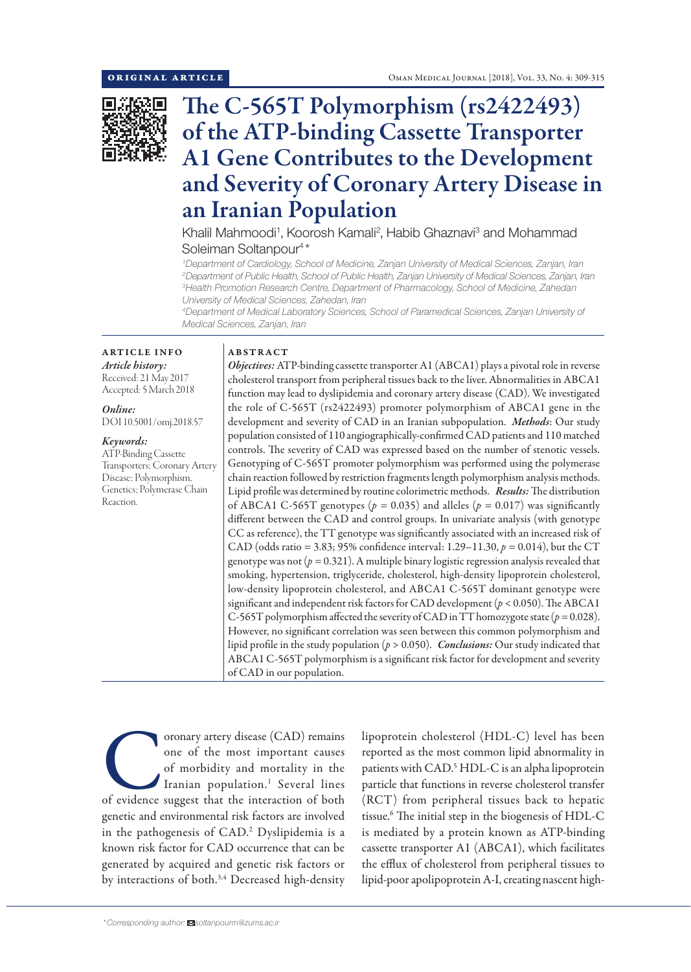

# The C-565T Polymorphism (rs2422493) of the ATP-binding Cassette Transporter A1 Gene Contributes to the Development and Severity of Coronary Artery Disease in an Iranian Population

Khalil Mahmoodi<sup>1</sup>, Koorosh Kamali<sup>2</sup>, Habib Ghaznavi<sup>3</sup> and Mohammad Soleiman Soltanpour<sup>4\*</sup>

 *Department of Cardiology, School of Medicine, Zanjan University of Medical Sciences, Zanjan, Iran Department of Public Health, School of Public Health, Zanjan University of Medical Sciences, Zanjan, Iran Health Promotion Research Centre, Department of Pharmacology, School of Medicine, Zahedan University of Medical Sciences, Zahedan, Iran*

*4 Department of Medical Laboratory Sciences, School of Paramedical Sciences, Zanjan University of Medical Sciences, Zanjan, Iran*

## ARTICLE INFO *Article history:* Received: 21 May 2017

Accepted: 5 March 2018

*Online:* DOI 10.5001/omj.2018.57

## *Keywords:*

ATP-Binding Cassette Transporters; Coronary Artery Disease; Polymorphism, Genetics; Polymerase Chain Reaction.

## ABSTRACT

*Objectives:* ATP-binding cassette transporter A1 (ABCA1) plays a pivotal role in reverse cholesterol transport from peripheral tissues back to the liver. Abnormalities in ABCA1 function may lead to dyslipidemia and coronary artery disease (CAD). We investigated the role of C-565T (rs2422493) promoter polymorphism of ABCA1 gene in the development and severity of CAD in an Iranian subpopulation. *Methods*: Our study population consisted of 110 angiographically-confirmed CAD patients and 110 matched controls. The severity of CAD was expressed based on the number of stenotic vessels. Genotyping of C-565T promoter polymorphism was performed using the polymerase chain reaction followed by restriction fragments length polymorphism analysis methods. Lipid profile was determined by routine colorimetric methods. *Results:* The distribution of ABCA1 C-565T genotypes ( $p = 0.035$ ) and alleles ( $p = 0.017$ ) was significantly different between the CAD and control groups. In univariate analysis (with genotype CC as reference), the TT genotype was significantly associated with an increased risk of CAD (odds ratio = 3.83; 95% confidence interval: 1.29–11.30, *p =* 0.014), but the CT genotype was not ( $p = 0.321$ ). A multiple binary logistic regression analysis revealed that smoking, hypertension, triglyceride, cholesterol, high-density lipoprotein cholesterol, low-density lipoprotein cholesterol, and ABCA1 C-565T dominant genotype were significant and independent risk factors for CAD development (*p* < 0.050). The ABCA1 C-565T polymorphism affected the severity of CAD in TT homozygote state (*p =* 0.028). However, no significant correlation was seen between this common polymorphism and lipid profile in the study population (*p* > 0.050). *Conclusions:* Our study indicated that ABCA1 C-565T polymorphism is a significant risk factor for development and severity of CAD in our population.

oronary artery disease (CAD) remains<br>
one of the most important causes<br>
of morbidity and mortality in the<br>
Iranian population.<sup>1</sup> Several lines<br>
of evidence suggest that the interaction of both one of the most important causes of morbidity and mortality in the Iranian population.<sup>1</sup> Several lines genetic and environmental risk factors are involved in the pathogenesis of CAD.2 Dyslipidemia is a known risk factor for CAD occurrence that can be generated by acquired and genetic risk factors or by interactions of both.<sup>3,4</sup> Decreased high-density

lipoprotein cholesterol (HDL-C) level has been reported as the most common lipid abnormality in patients with CAD.<sup>5</sup> HDL-C is an alpha lipoprotein particle that functions in reverse cholesterol transfer (RCT) from peripheral tissues back to hepatic tissue.6 The initial step in the biogenesis of HDL-C is mediated by a protein known as ATP-binding cassette transporter A1 (ABCA1), which facilitates the efflux of cholesterol from peripheral tissues to lipid-poor apolipoprotein A-I, creating nascent high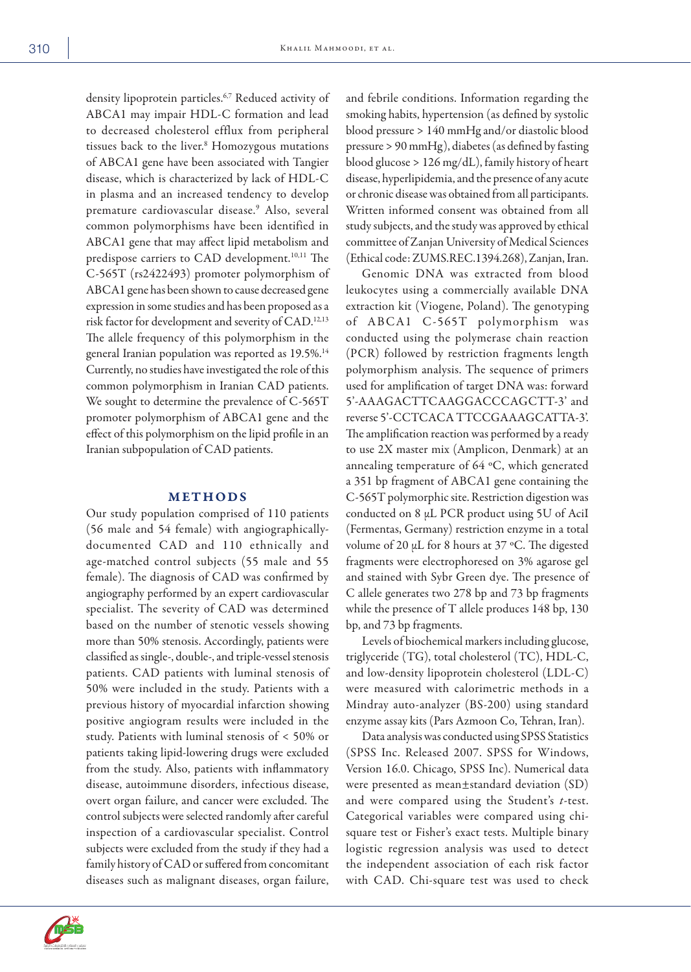density lipoprotein particles.<sup>6,7</sup> Reduced activity of ABCA1 may impair HDL-C formation and lead to decreased cholesterol efflux from peripheral tissues back to the liver.<sup>8</sup> Homozygous mutations of ABCA1 gene have been associated with Tangier disease, which is characterized by lack of HDL-C in plasma and an increased tendency to develop premature cardiovascular disease.9 Also, several common polymorphisms have been identified in ABCA1 gene that may affect lipid metabolism and predispose carriers to CAD development.<sup>10,11</sup> The C-565T (rs2422493) promoter polymorphism of ABCA1 gene has been shown to cause decreased gene expression in some studies and has been proposed as a risk factor for development and severity of CAD.12,13 The allele frequency of this polymorphism in the general Iranian population was reported as 19.5%.<sup>14</sup> Currently, no studies have investigated the role of this common polymorphism in Iranian CAD patients. We sought to determine the prevalence of C-565T promoter polymorphism of ABCA1 gene and the effect of this polymorphism on the lipid profile in an Iranian subpopulation of CAD patients.

### METHODS

Our study population comprised of 110 patients (56 male and 54 female) with angiographicallydocumented CAD and 110 ethnically and age-matched control subjects (55 male and 55 female). The diagnosis of CAD was confirmed by angiography performed by an expert cardiovascular specialist. The severity of CAD was determined based on the number of stenotic vessels showing more than 50% stenosis. Accordingly, patients were classified as single-, double-, and triple-vessel stenosis patients. CAD patients with luminal stenosis of 50% were included in the study. Patients with a previous history of myocardial infarction showing positive angiogram results were included in the study. Patients with luminal stenosis of < 50% or patients taking lipid-lowering drugs were excluded from the study. Also, patients with inflammatory disease, autoimmune disorders, infectious disease, overt organ failure, and cancer were excluded. The control subjects were selected randomly after careful inspection of a cardiovascular specialist. Control subjects were excluded from the study if they had a family history of CAD or suffered from concomitant diseases such as malignant diseases, organ failure,

and febrile conditions. Information regarding the smoking habits, hypertension (as defined by systolic blood pressure > 140 mmHg and/or diastolic blood pressure > 90 mmHg), diabetes (as defined by fasting blood glucose > 126 mg/dL), family history of heart disease, hyperlipidemia, and the presence of any acute or chronic disease was obtained from all participants. Written informed consent was obtained from all study subjects, and the study was approved by ethical committee of Zanjan University of Medical Sciences (Ethical code: ZUMS.REC.1394.268), Zanjan, Iran.

Genomic DNA was extracted from blood leukocytes using a commercially available DNA extraction kit (Viogene, Poland). The genotyping of ABCA1 C-565T polymorphism was conducted using the polymerase chain reaction (PCR) followed by restriction fragments length polymorphism analysis. The sequence of primers used for amplification of target DNA was: forward 5'-AAAGACTTCAAGGACCCAGCTT-3' and reverse 5'-CCTCACA TTCCGAAAGCATTA-3'. The amplification reaction was performed by a ready to use 2X master mix (Amplicon, Denmark) at an annealing temperature of 64 ºC, which generated a 351 bp fragment of ABCA1 gene containing the C-565T polymorphic site. Restriction digestion was conducted on 8 µL PCR product using 5U of AciI (Fermentas, Germany) restriction enzyme in a total volume of 20 µL for 8 hours at 37 ºC. The digested fragments were electrophoresed on 3% agarose gel and stained with Sybr Green dye. The presence of C allele generates two 278 bp and 73 bp fragments while the presence of T allele produces 148 bp, 130 bp, and 73 bp fragments.

Levels of biochemical markers including glucose, triglyceride (TG), total cholesterol (TC), HDL-C, and low-density lipoprotein cholesterol (LDL-C) were measured with calorimetric methods in a Mindray auto-analyzer (BS-200) using standard enzyme assay kits (Pars Azmoon Co, Tehran, Iran).

Data analysis was conducted using SPSS Statistics (SPSS Inc. Released 2007. SPSS for Windows, Version 16.0. Chicago, SPSS Inc). Numerical data were presented as mean±standard deviation (SD) and were compared using the Student's *t*-test. Categorical variables were compared using chisquare test or Fisher's exact tests. Multiple binary logistic regression analysis was used to detect the independent association of each risk factor with CAD. Chi-square test was used to check

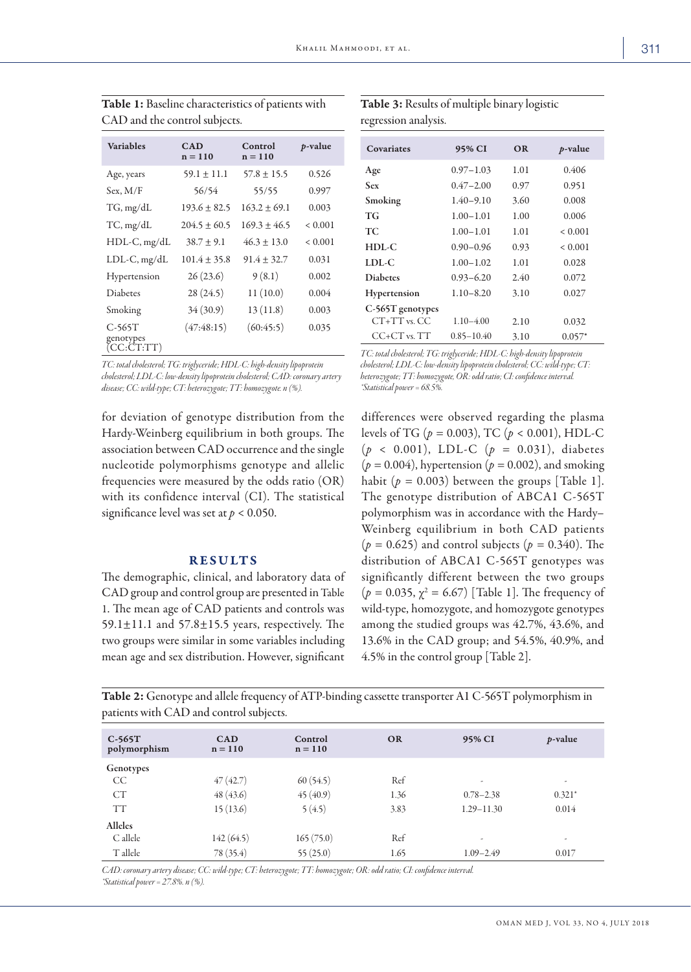| <b>Variables</b>                    | CAD<br>$n = 110$ | Control<br>$n = 110$ | <i>p</i> -value |
|-------------------------------------|------------------|----------------------|-----------------|
| Age, years                          | $59.1 \pm 11.1$  | $57.8 \pm 15.5$      | 0.526           |
| Sex, M/F                            | 56/54            | 55/55                | 0.997           |
| TG, mg/dL                           | $193.6 \pm 82.5$ | $163.2 + 69.1$       | 0.003           |
| TC, mg/dL                           | $204.5 \pm 60.5$ | $169.3 \pm 46.5$     | < 0.001         |
| $HDL-C$ , mg/dL                     | $38.7 \pm 9.1$   | $46.3 \pm 13.0$      | < 0.001         |
| $LDL-C, mg/dL$                      | $101.4 \pm 35.8$ | $91.4 \pm 32.7$      | 0.031           |
| Hypertension                        | 26(23.6)         | 9(8.1)               | 0.002           |
| <b>Diabetes</b>                     | 28(24.5)         | 11(10.0)             | 0.004           |
| Smoking                             | 34(30.9)         | 13(11.8)             | 0.003           |
| $C-565T$<br>genotypes<br>(CC:CT:TT) | (47:48:15)       | (60:45:5)            | 0.035           |

Table 1: Baseline characteristics of patients with CAD and the control subjects.

*TC: total cholesterol; TG: triglyceride; HDL-C: high-density lipoprotein cholesterol; LDL-C: low-density lipoprotein cholesterol; CAD: coronary artery disease; CC: wild-type; CT: heterozygote; TT: homozygote. n (%).*

for deviation of genotype distribution from the Hardy-Weinberg equilibrium in both groups. The association between CAD occurrence and the single nucleotide polymorphisms genotype and allelic frequencies were measured by the odds ratio (OR) with its confidence interval (CI). The statistical significance level was set at *p* < 0.050.

### RESULTS

The demographic, clinical, and laboratory data of CAD group and control group are presented in Table 1. The mean age of CAD patients and controls was 59.1 $\pm$ 11.1 and 57.8 $\pm$ 15.5 years, respectively. The two groups were similar in some variables including mean age and sex distribution. However, significant

Table 3: Results of multiple binary logistic regression analysis.

| <b>Covariates</b> | 95% CI         | <b>OR</b> | $p$ -value |
|-------------------|----------------|-----------|------------|
| Age               | $0.97 - 1.03$  | 1.01      | 0.406      |
| Sex               | $0.47 - 2.00$  | 0.97      | 0.951      |
| Smoking           | $1.40 - 9.10$  | 3.60      | 0.008      |
| <b>TG</b>         | $1.00 - 1.01$  | 1.00      | 0.006      |
| <b>TC</b>         | $1.00 - 1.01$  | 1.01      | < 0.001    |
| $HDL-C$           | $0.90 - 0.96$  | 0.93      | < 0.001    |
| LDL-C             | $1.00 - 1.02$  | 1.01      | 0.028      |
| <b>Diaberes</b>   | $0.93 - 6.20$  | 2.40      | 0.072      |
| Hypertension      | $1.10 - 8.20$  | 3.10      | 0.027      |
| C-565T genotypes  |                |           |            |
| $CT+TT$ vs. $CC$  | $1.10 - 4.00$  | 2.10      | 0.032      |
| $CC+CT$ vs. $TT$  | $0.85 - 10.40$ | 3.10      | $0.057*$   |

*TC: total cholesterol; TG: triglyceride; HDL-C: high-density lipoprotein cholesterol; LDL-C: low-density lipoprotein cholesterol; CC: wild-type; CT: heterozygote; TT: homozygote, OR: odd ratio; CI: confidence interval. \*Statistical power = 68.5%.*

differences were observed regarding the plasma levels of TG (*p =* 0.003), TC (*p* < 0.001), HDL-C (*p* < 0.001), LDL-C (*p =* 0.031), diabetes  $(p = 0.004)$ , hypertension  $(p = 0.002)$ , and smoking habit  $(p = 0.003)$  between the groups [Table 1]. The genotype distribution of ABCA1 C-565T polymorphism was in accordance with the Hardy– Weinberg equilibrium in both CAD patients  $(p = 0.625)$  and control subjects  $(p = 0.340)$ . The distribution of ABCA1 C-565T genotypes was significantly different between the two groups  $(p = 0.035, \chi^2 = 6.67)$  [Table 1]. The frequency of wild-type, homozygote, and homozygote genotypes among the studied groups was 42.7%, 43.6%, and 13.6% in the CAD group; and 54.5%, 40.9%, and 4.5% in the control group [Table 2].

Table 2: Genotype and allele frequency of ATP-binding cassette transporter A1 C-565T polymorphism in patients with CAD and control subjects.

| $C-565T$<br>polymorphism | <b>CAD</b><br>$n = 110$ | Control<br>$n = 110$ | <b>OR</b> | 95% CI                   | <i>p</i> -value |
|--------------------------|-------------------------|----------------------|-----------|--------------------------|-----------------|
| Genotypes                |                         |                      |           |                          |                 |
| CC                       | 47(42.7)                | 60(54.5)             | Ref       | ٠                        | ٠               |
| CT                       | 48(43.6)                | 45(40.9)             | 1.36      | $0.78 - 2.38$            | $0.321*$        |
| <b>TT</b>                | 15(13.6)                | 5(4.5)               | 3.83      | $1.29 - 11.30$           | 0.014           |
| <b>Alleles</b>           |                         |                      |           |                          |                 |
| C allele                 | 142(64.5)               | 165(75.0)            | Ref       | $\overline{\phantom{a}}$ | ٠               |
| T allele                 | 78 (35.4)               | 55(25.0)             | 1.65      | $1.09 - 2.49$            | 0.017           |

*CAD: coronary artery disease; CC: wild-type; CT: heterozygote; TT: homozygote; OR: odd ratio; CI: confidence interval. \*Statistical power = 27.8%. n (%).*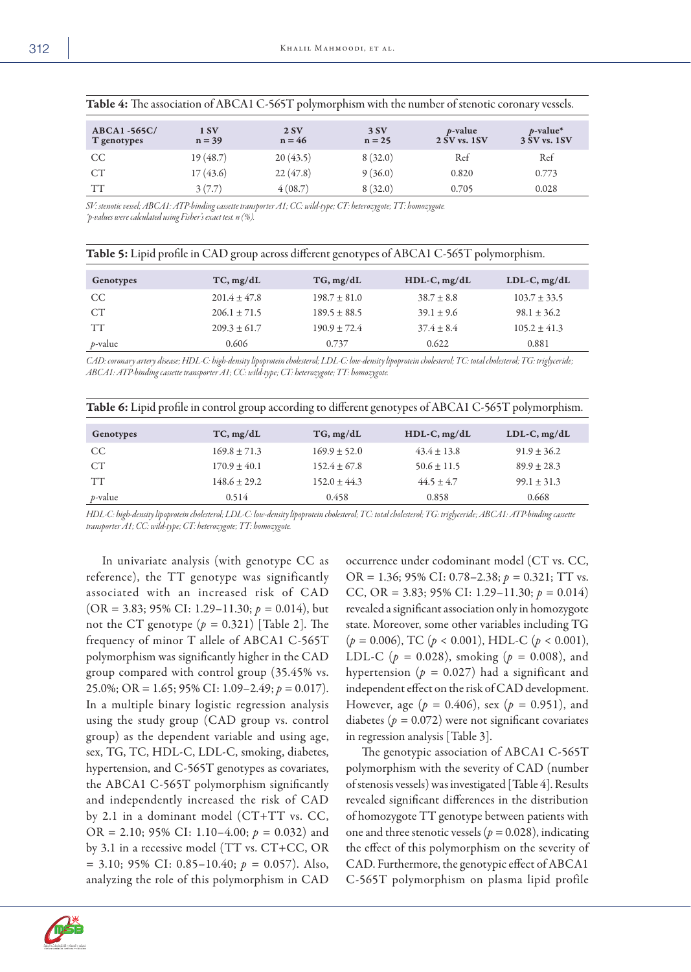| ABCA1-565C/<br>T genotypes | 1 SV<br>$n = 39$ | 2SV<br>$n = 46$ | 3SV<br>$n = 25$ | $p$ -value<br>2 SV vs. 1 SV | $p$ -value*<br>3 SV vs. 1 SV |  |
|----------------------------|------------------|-----------------|-----------------|-----------------------------|------------------------------|--|
| <sub>CC</sub>              | 19(48.7)         | 20(43.5)        | 8(32.0)         | Ref                         | Ref                          |  |
| CT                         | 17(43.6)         | 22(47.8)        | 9(36.0)         | 0.820                       | 0.773                        |  |
| <b>TT</b>                  | 3(7.7)           | 4(08.7)         | 8(32.0)         | 0.705                       | 0.028                        |  |

| Table 4: The association of ABCA1 C-565T polymorphism with the number of stenotic coronary vessels. |  |  |
|-----------------------------------------------------------------------------------------------------|--|--|
|-----------------------------------------------------------------------------------------------------|--|--|

*SV: stenotic vessel; ABCA1: ATP-binding cassette transporter A1; CC: wild-type; CT: heterozygote; TT: homozygote. \*p-values were calculated using Fisher's exact test. n (%).*

|  |  | <b>Table 5:</b> Lipid profile in CAD group across different genotypes of ABCA1 C-565T polymorphism. |  |  |
|--|--|-----------------------------------------------------------------------------------------------------|--|--|
|--|--|-----------------------------------------------------------------------------------------------------|--|--|

| Genotypes  | TC, mg/dL        | TG, mg/dL        | $HDL-C, mg/dL$ | $LDL-C, mg/dL$   |
|------------|------------------|------------------|----------------|------------------|
| CC.        | $201.4 + 47.8$   | $198.7 \pm 81.0$ | $38.7 \pm 8.8$ | $103.7 \pm 33.5$ |
| CT         | $206.1 \pm 71.5$ | $189.5 \pm 88.5$ | $39.1 \pm 9.6$ | $98.1 \pm 36.2$  |
| <b>TT</b>  | $209.3 + 61.7$   | $190.9 \pm 72.4$ | $37.4 \pm 8.4$ | $105.2 \pm 41.3$ |
| $p$ -value | 0.606            | 0.737            | 0.622          | 0.881            |

*CAD: coronary artery disease; HDL-C: high-density lipoprotein cholesterol; LDL-C: low-density lipoprotein cholesterol; TC: total cholesterol; TG: triglyceride; ABCA1: ATP-binding cassette transporter A1; CC: wild-type; CT: heterozygote; TT: homozygote.* 

| <b>Table 6:</b> Lipid profile in control group according to different genotypes of ABCA1 C-565T polymorphism. |                  |                  |                 |                 |  |
|---------------------------------------------------------------------------------------------------------------|------------------|------------------|-----------------|-----------------|--|
| Genotypes                                                                                                     | TC, mg/dL        | TG, mg/dL        | $HDL-C, mg/dL$  | $LDL-C, mg/dL$  |  |
| <sub>CC</sub>                                                                                                 | $169.8 + 71.3$   | $169.9 + 52.0$   | $43.4 \pm 13.8$ | $91.9 \pm 36.2$ |  |
| CT                                                                                                            | $170.9 \pm 40.1$ | $152.4 \pm 67.8$ | $50.6 \pm 11.5$ | $89.9 + 28.3$   |  |
| <b>TT</b>                                                                                                     | $148.6 + 29.2$   | $152.0 \pm 44.3$ | $44.5 \pm 4.7$  | $99.1 \pm 31.3$ |  |
| $p$ -value                                                                                                    | 0.514            | 0.458            | 0.858           | 0.668           |  |

*HDL-C: high-density lipoprotein cholesterol; LDL-C: low-density lipoprotein cholesterol; TC: total cholesterol; TG: triglyceride; ABCA1: ATP-binding cassette transporter A1; CC: wild-type; CT: heterozygote; TT: homozygote.* 

In univariate analysis (with genotype CC as reference), the TT genotype was significantly associated with an increased risk of CAD (OR = 3.83; 95% CI: 1.29–11.30; *p =* 0.014), but not the CT genotype  $(p = 0.321)$  [Table 2]. The frequency of minor T allele of ABCA1 C-565T polymorphism was significantly higher in the CAD group compared with control group (35.45% vs. 25.0%; OR = 1.65; 95% CI: 1.09–2.49; *p =* 0.017). In a multiple binary logistic regression analysis using the study group (CAD group vs. control group) as the dependent variable and using age, sex, TG, TC, HDL-C, LDL-C, smoking, diabetes, hypertension, and C-565T genotypes as covariates, the ABCA1 C-565T polymorphism significantly and independently increased the risk of CAD by 2.1 in a dominant model (CT+TT vs. CC, OR = 2.10; 95% CI: 1.10–4.00; *p =* 0.032) and by 3.1 in a recessive model (TT vs. CT+CC, OR = 3.10; 95% CI: 0.85–10.40; *p =* 0.057). Also, analyzing the role of this polymorphism in CAD

occurrence under codominant model (CT vs. CC, OR = 1.36; 95% CI: 0.78–2.38; *p =* 0.321; TT vs. CC, OR = 3.83; 95% CI: 1.29–11.30; *p =* 0.014) revealed a significant association only in homozygote state. Moreover, some other variables including TG (*p =* 0.006), TC (*p* < 0.001), HDL-C (*p* < 0.001), LDL-C (*p =* 0.028), smoking (*p =* 0.008), and hypertension  $(p = 0.027)$  had a significant and independent effect on the risk of CAD development. However, age (*p =* 0.406), sex (*p =* 0.951), and diabetes  $(p = 0.072)$  were not significant covariates in regression analysis [Table 3].

The genotypic association of ABCA1 C-565T polymorphism with the severity of CAD (number of stenosis vessels) was investigated [Table 4]. Results revealed significant differences in the distribution of homozygote TT genotype between patients with one and three stenotic vessels (*p =* 0.028), indicating the effect of this polymorphism on the severity of CAD. Furthermore, the genotypic effect of ABCA1 C-565T polymorphism on plasma lipid profile

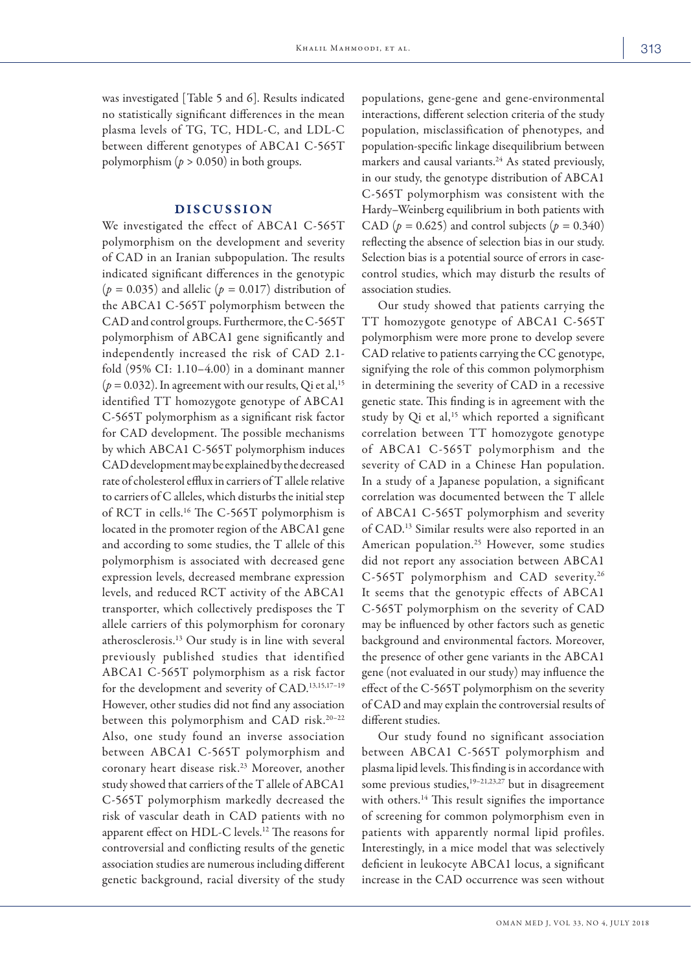was investigated [Table 5 and 6]. Results indicated no statistically significant differences in the mean plasma levels of TG, TC, HDL-C, and LDL-C between different genotypes of ABCA1 C-565T polymorphism  $(p > 0.050)$  in both groups.

### DISCUSSION

We investigated the effect of ABCA1 C-565T polymorphism on the development and severity of CAD in an Iranian subpopulation. The results indicated significant differences in the genotypic (*p =* 0.035) and allelic (*p =* 0.017) distribution of the ABCA1 C-565T polymorphism between the CAD and control groups. Furthermore, the C-565T polymorphism of ABCA1 gene significantly and independently increased the risk of CAD 2.1 fold (95% CI: 1.10–4.00) in a dominant manner  $(p = 0.032)$ . In agreement with our results, Qi et al,<sup>15</sup> identified TT homozygote genotype of ABCA1 C-565T polymorphism as a significant risk factor for CAD development. The possible mechanisms by which ABCA1 C-565T polymorphism induces CAD development may be explained by the decreased rate of cholesterol efflux in carriers of T allele relative to carriers of C alleles, which disturbs the initial step of RCT in cells.16 The C-565T polymorphism is located in the promoter region of the ABCA1 gene and according to some studies, the T allele of this polymorphism is associated with decreased gene expression levels, decreased membrane expression levels, and reduced RCT activity of the ABCA1 transporter, which collectively predisposes the T allele carriers of this polymorphism for coronary atherosclerosis.13 Our study is in line with several previously published studies that identified ABCA1 C-565T polymorphism as a risk factor for the development and severity of CAD.13,15,17–19 However, other studies did not find any association between this polymorphism and CAD risk.20–22 Also, one study found an inverse association between ABCA1 C-565T polymorphism and coronary heart disease risk.23 Moreover, another study showed that carriers of the T allele of ABCA1 C-565T polymorphism markedly decreased the risk of vascular death in CAD patients with no apparent effect on HDL-C levels.12 The reasons for controversial and conflicting results of the genetic association studies are numerous including different genetic background, racial diversity of the study

populations, gene-gene and gene-environmental interactions, different selection criteria of the study population, misclassification of phenotypes, and population-specific linkage disequilibrium between markers and causal variants.<sup>24</sup> As stated previously, in our study, the genotype distribution of ABCA1 C-565T polymorphism was consistent with the Hardy–Weinberg equilibrium in both patients with CAD ( $p = 0.625$ ) and control subjects ( $p = 0.340$ ) reflecting the absence of selection bias in our study. Selection bias is a potential source of errors in casecontrol studies, which may disturb the results of association studies.

Our study showed that patients carrying the TT homozygote genotype of ABCA1 C-565T polymorphism were more prone to develop severe CAD relative to patients carrying the CC genotype, signifying the role of this common polymorphism in determining the severity of CAD in a recessive genetic state. This finding is in agreement with the study by Qi et al,<sup>15</sup> which reported a significant correlation between TT homozygote genotype of ABCA1 C-565T polymorphism and the severity of CAD in a Chinese Han population. In a study of a Japanese population, a significant correlation was documented between the T allele of ABCA1 C-565T polymorphism and severity of CAD.13 Similar results were also reported in an American population.25 However, some studies did not report any association between ABCA1 C-565T polymorphism and CAD severity.26 It seems that the genotypic effects of ABCA1 C-565T polymorphism on the severity of CAD may be influenced by other factors such as genetic background and environmental factors. Moreover, the presence of other gene variants in the ABCA1 gene (not evaluated in our study) may influence the effect of the C-565T polymorphism on the severity of CAD and may explain the controversial results of different studies.

Our study found no significant association between ABCA1 C-565T polymorphism and plasma lipid levels. This finding is in accordance with some previous studies,<sup>19-21,23,27</sup> but in disagreement with others.<sup>14</sup> This result signifies the importance of screening for common polymorphism even in patients with apparently normal lipid profiles. Interestingly, in a mice model that was selectively deficient in leukocyte ABCA1 locus, a significant increase in the CAD occurrence was seen without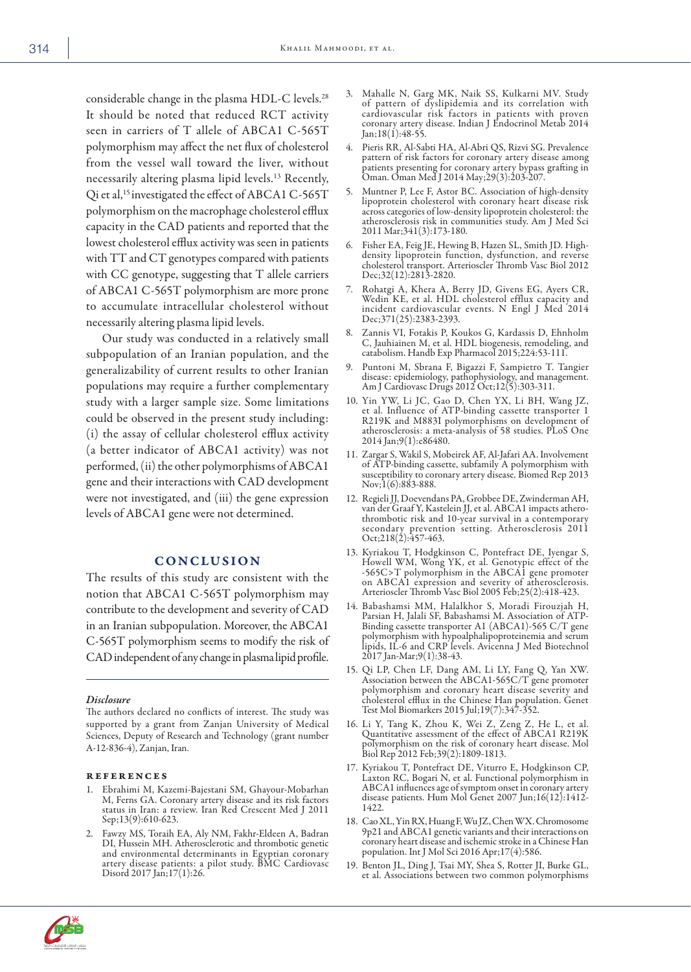considerable change in the plasma HDL-C levels.<sup>28</sup> It should be noted that reduced RCT activity seen in carriers of T allele of ABCA1 C-565T polymorphism may affect the net flux of cholesterol from the vessel wall toward the liver, without necessarily altering plasma lipid levels.13 Recently, Qi et al,<sup>15</sup> investigated the effect of ABCA1 C-565T polymorphism on the macrophage cholesterol efflux capacity in the CAD patients and reported that the lowest cholesterol efflux activity was seen in patients with TT and CT genotypes compared with patients with CC genotype, suggesting that T allele carriers of ABCA1 C-565T polymorphism are more prone to accumulate intracellular cholesterol without necessarily altering plasma lipid levels.

Our study was conducted in a relatively small subpopulation of an Iranian population, and the generalizability of current results to other Iranian populations may require a further complementary study with a larger sample size. Some limitations could be observed in the present study including: (i) the assay of cellular cholesterol efflux activity (a better indicator of ABCA1 activity) was not performed, (ii) the other polymorphisms of ABCA1 gene and their interactions with CAD development were not investigated, and (iii) the gene expression levels of ABCA1 gene were not determined.

## **CONCLUSION**

The results of this study are consistent with the notion that ABCA1 C-565T polymorphism may contribute to the development and severity of CAD in an Iranian subpopulation. Moreover, the ABCA1 C-565T polymorphism seems to modify the risk of CAD independent of any change in plasma lipid profile.

*Disclosure*

The authors declared no conflicts of interest. The study was supported by a grant from Zanjan University of Medical Sciences, Deputy of Research and Technology (grant number A-12-836-4), Zanjan, Iran.

#### references

- 1. Ebrahimi M, Kazemi-Bajestani SM, Ghayour-Mobarhan M, Ferns GA. Coronary artery disease and its risk factors status in Iran: a review. Iran Red Crescent Med J 2011 Sep;13(9):610-623.
- 2. Fawzy MS, Toraih EA, Aly NM, Fakhr-Eldeen A, Badran DI, Hussein MH. Atherosclerotic and thrombotic genetic and environmental determinants in Egyptian coronary artery disease patients: a pilot study. BMC Cardiovasc Disord 2017 Jan;17(1):26.
- 3. Mahalle N, Garg MK, Naik SS, Kulkarni MV. Study of pattern of dyslipidemia and its correlation with cardiovascular risk factors in patients with proven coronary artery disease. Indian J Endocrinol Metab 2014 Jan;18(1):48-55.
- 4. Pieris RR, Al-Sabti HA, Al-Abri QS, Rizvi SG. Prevalence pattern of risk factors for coronary artery disease among patients presenting for coronary artery bypass grafting in Oman. Oman Med J 2014 May;29(3):203-207.
- 5. Muntner P, Lee F, Astor BC. Association of high-density lipoprotein cholesterol with coronary heart disease risk across categories of low-density lipoprotein cholesterol: the atherosclerosis risk in communities study. Am J Med Sci 2011 Mar;341(3):173-180.
- 6. Fisher EA, Feig JE, Hewing B, Hazen SL, Smith JD. High- density lipoprotein function, dysfunction, and reverse cholesterol transport. Arterioscler Thromb Vasc Biol 2012 Dec;32(12):2813-2820.
- 7. Rohatgi A, Khera A, Berry JD, Givens EG, Ayers CR, Wedin KE, et al. HDL cholesterol efflux capacity and incident cardiovascular events. N Engl J Med 2014 Dec;371(25):2383-2393.
- 8. Zannis VI, Fotakis P, Koukos G, Kardassis D, Ehnholm C, Jauhiainen M, et al. HDL biogenesis, remodeling, and catabolism. Handb Exp Pharmacol 2015;224:53-111.
- 9. Puntoni M, Sbrana F, Bigazzi F, Sampietro T. Tangier disease: epidemiology, pathophysiology, and management. Am J Cardiovasc Drugs 2012 Oct;12(5):303-311.
- 10. Yin YW, Li JC, Gao D, Chen YX, Li BH, Wang JZ, et al. Influence of ATP-binding cassette transporter 1 R219K and M883I polymorphisms on development of atherosclerosis: a meta-analysis of 58 studies. PLoS One 2014 Jan;9(1):e86480.
- 11. Zargar S, Wakil S, Mobeirek AF, Al-Jafari AA. Involvement of ATP-binding cassette, subfamily A polymorphism with susceptibility to coronary artery disease. Biomed Rep 2013 Nov;1(6):883-888.
- 12. Regieli JJ, Doevendans PA, Grobbee DE, Zwinderman AH, van der Graaf Y, Kastelein JJ, et al. ABCA1 impacts athero- thrombotic risk and 10-year survival in a contemporary secondary prevention setting. Atherosclerosis 2011 Oct;  $218(2):$   $\frac{257}{463}$ .
- 13. Kyriakou T, Hodgkinson C, Pontefract DE, Iyengar S, Howell WM, Wong YK, et al. Genotypic effect of the -565C>T polymorphism in the ABCA1 gene promoter on ABCA1 expression and severity of atherosclerosis. Arterioscler Thromb Vasc Biol 2005 Feb;25(2):418-423.
- 14. Babashamsi MM, Halalkhor S, Moradi Firouzjah H, Parsian H, Jalali SF, Babashamsi M. Association of ATP-Binding cassette transporter A1 (ABCA1)-565 C/T gene polymorphism with hypoalphalipoproteinemia and serum lipids, IL-6 and CRP levels. Avicenna J Med Biotechnol 2017 Jan-Mar;9(1):38-43.
- 15. Qi LP, Chen LF, Dang AM, Li LY, Fang Q, Yan XW. Association between the ABCA1-565C/T gene promoter polymorphism and coronary heart disease severity and cholesterol efflux in the Chinese Han population. Genet Test Mol Biomarkers 2015 Jul;19(7):347-352.
- 16. Li Y, Tang K, Zhou K, Wei Z, Zeng Z, He L, et al. Quantitative assessment of the effect of ABCA1 R219K polymorphism on the risk of coronary heart disease. Mol Biol Rep 2012 Feb;39(2):1809-1813.
- 17. Kyriakou T, Pontefract DE, Viturro E, Hodgkinson CP, Laxton RC, Bogari N, et al. Functional polymorphism in ABCA1 influences age of symptom onset in coronary artery disease patients. Hum Mol Genet 2007 Jun;16(12):1412- 1422.
- 18. Cao XL, Yin RX, Huang F, Wu JZ, Chen WX. Chromosome 9p21 and ABCA1 genetic variants and their interactions on coronary heart disease and ischemic stroke in a Chinese Han population. Int J Mol Sci 2016 Apr;17(4):586.
- 19. Benton JL, Ding J, Tsai MY, Shea S, Rotter JI, Burke GL, et al. Associations between two common polymorphisms